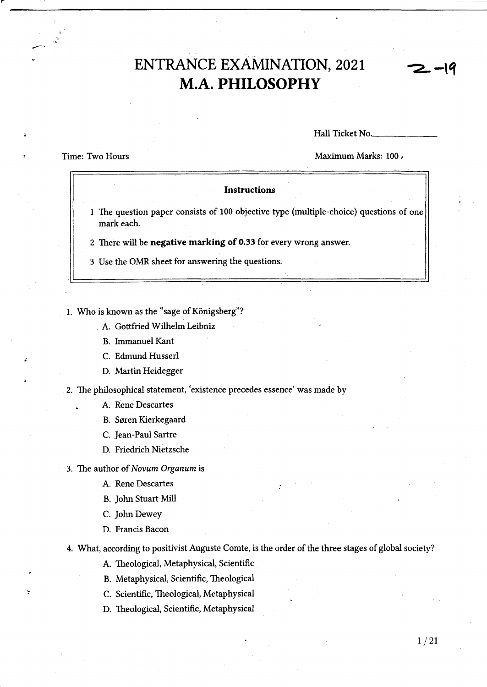# ENTRANCE EXAMINATION, 2021 **M.A. PHILOSOPHY**

-19

Hall Ticket No.

;

Time: Two Hours and The Maximum Marks: 100 *i* 

## Instructions

- 1 The question paper consists of 100 objective type (multiple-choice) questions of one mark each.
- 2 There will be negative marking of 0.33 for every wrong answer.
- 3 Use the OMR sheet for answering the questions.

1. Who is known as the "sage of Königsberg"?

- , A. Gottfried Wilhelm Leibniz
	- B. Immanuel Kant
	- C. Edmund Husserl
	- D. Martin Heidegger

2. The philosophical statement, 'existence precedes essence' was made by

- A. Rene Descartes
- B. Søren Kierkegaard
- C. Jean-Paul Sartre
- D. Friedrich Nietzsche
- 3. The author of *Novum Organum* is
	- A. Rene Descartes
	- B. John Stuart Mill
	- C. John Dewey
	- D. Francis Bacon

4. What, according to positivist Auguste Comte, is the order of the three stages of global society?

- A. Theological, Metaphysical, Scientific
- B. Metaphysical, Scientific, Theological
- C. Scientific, Theological, Metaphysical
- D. Theological, Scientific, Metaphysical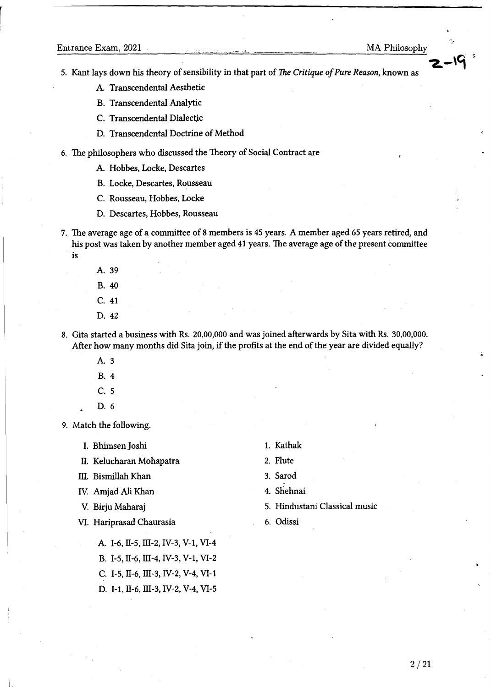$2 - 19$   $*$ 

*b* 

- 5. Kant lays down his theory of sensibility in that part of *The Critique of Pure Reason,* known as
	- A. Transcendental Aesthetic
	- B. Transcendental Analytic
	- C. Transcendental Dialectic
	- D. Transcendental Doctrine of Method
- 6. The philosophers who discussed the Theory of Social Contract are
	- A. Hobbes, Locke, Descartes
	- B. Locke, Descartes, Rousseau
	- C. Rousseau, Hobbes, Locke
	- D. Descartes, Hobbes, Rousseau
- 7. The average age of a committee of 8 members is 45 years. A member aged 65 years retired, and his post was taken by another member aged 41 years. The average age of the present committee is
	- A. 39 B. 40 C. 41 D.42
- 8. Gita started a business with Rs. 20,00,000 and was joined afterwards by Sita with Rs. 30,00,000. After how many months did Sita join, if the profits at the end of the year are divided equally?
	- A.3
	- B.4
	- C.5
	- D. 6

9. Match the following.

- I. Bhimsen Joshi
- n. Kelucharan Mohapatra
- Ill. Bismillah Khan
- IV. Amjad Ali Khan
- V. Birju Maharaj
- VI. Hariprasad Chaurasia

A. I-6, II-5, III-2, IV-3, V-1, VI-4

- B. 1-5,11-6, Ill-4, IV-3, V-I, VI-2
- C. 1-5, 11-6, Ill-3, IV-2, V-4, VI-I
- D. 1-1, 11-6, Ill-3, IV-2, V-4, VI-5
- 1. Kathak
- 2. Flute
- 3. Sarod
- 4. Shehnai
- 5. Hindustani Classical music
- 6. Odissi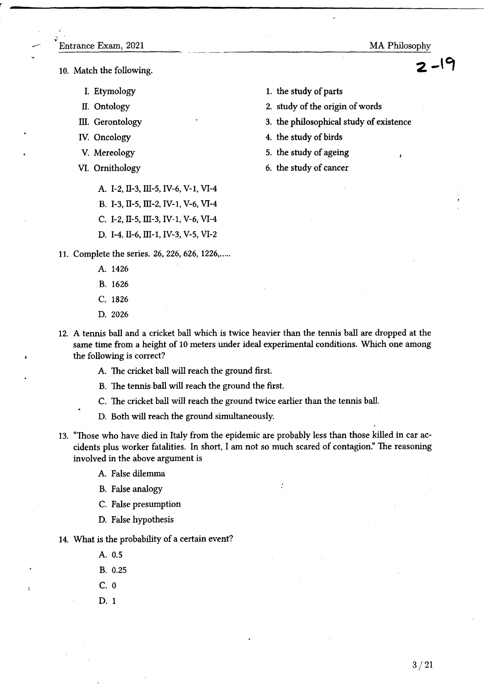~~

s -19

- 10. Match the following.
	- 1. Etymology
	- II. Ontology
	- III. Gerontology
	- IV. Oncology
	- V. Mereology
	- VI. Ornithology
		- A. I-2, II-3, III-5, IV-6, V-1, VI-4
		- B. 1-3,11-5, ID-2, IV-I, V-6, VI-4
		- C. 1-2,11-5, ill-3, IV-I, V-6, VI-4
		- D. I-4, II-6, III-1, IV-3, V-5, VI-2
- 11. Complete the series. 26, 226, 626, 1226, .....
	- A. 1426
	- B. 1626
	- C. 1826
	- D. 2026
- 12. A tennis ball and a cricket ball which is twice heavier than the tennis ball are dropped at the same time from a height of 10 meters under ideal experimental conditions. Which one among the following is correct?
	- A. The cricket ball will reach the ground first.
	- B. The tennis ball will reach the ground the first.
	- C. The cricket ball will reach the ground twice earlier than the tennis ball.
	- D. Both will reach the ground simultaneously.
- 13. "Those who have died in Italy from the epidemic are probably less than those killed in car accidents plus worker fatalities. In short, I am not so much scared of contagion:' The reasoning involved in the above argument is
	- A. False dilemma
	- B. False analogy
	- C. False presumption
	- D. False hypothesis
- 14. What is the probability of a certain event?
	- A. 0.5
	- B.O.25
	- C. 0
	- D.1
- 1. the study of parts
- 2. study of the origin of words
- 3. the philosophical study of existence
- 4. the study of birds
- 5. the study of ageing
- 6. the study of cancer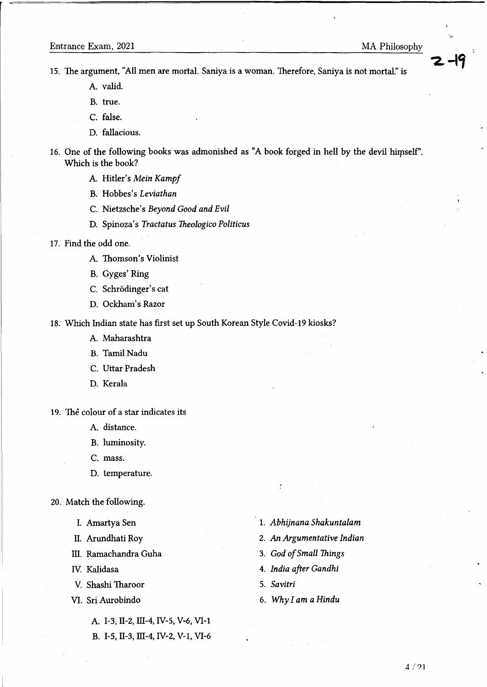15. The argument, "All men are mortal. Saniya is a woman. Therefore, Saniya is not mortal." is

- A. valid.
- B. true.
- C. false.
- D. fallacious.
- 16. One of the following books was admonished as "A book forged in hell by the devil hirpself". Which is the book?
	- A. Hitler's *Mein Kampf*
	- B. Hobbes's *Leviathan*
	- C. Nietzsche's *Beyond Good and Evil*
	- D. Spinoza's *Tractatus Iheologico Politicus*
- 17. Find the odd one.
	- A. Thomson's Violinist
	- B. Gyges'Ring
	- C. Schrodinger's cat
	- D. Ockham's Razor
- 18. Which Indian state has first set up South Korean Style Covid-19 kiosks?
	- A. Maharashtra
	- B. Tamil Nadu
	- C. Uttar Pradesh
	- D. Kerala
- 19. The colour of a star indicates its
	- A. distance.
	- B. luminosity.
	- C. mass.
	- D. temperature.
- 20. Match the following.
	- I. Amartya Sen
	- II. Arundhati Roy
	- III. Ramachandra Guha
	- IV. Kalidasa
	- V. Shashi Tharoor
	- VI. Sri Aurobindo
		- A. 1-3, II-2, III-4, IV-5, V-6, VI-I B. 1-5, II-3, III-4, *N-2,* V-I, VI-6
- *1. Abhijnana Shakuntalam*
- *2.* An *Argumentative Indian*
- *3. God of Small Ihings*
- *4. India after Gandhi*
- *5. Savitri*
- *6. Why I am a Hindu*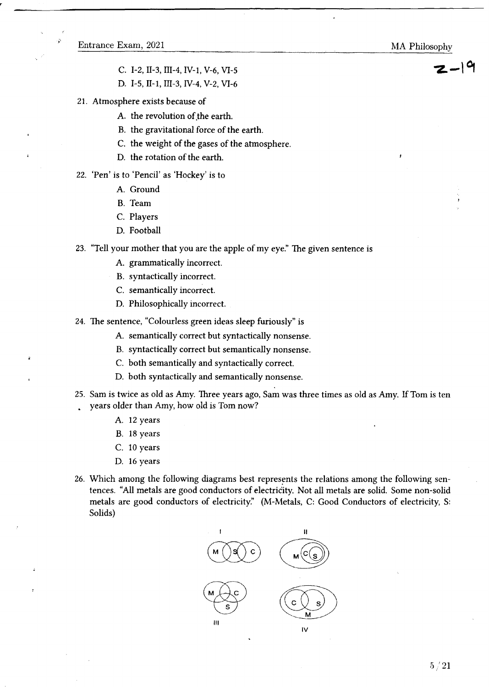- C. 1-2, II-3, III-4, IV-I, V-6, VI-5
- D. 1-5, II-I, III-3, IV-4, V-2, VI-6
- 21. Atmosphere exists because of
	- A. the revolution of the earth.
	- B. the gravitational force of the earth.
	- C. the weight of the gases of the atmosphere.
	- D. the rotation of the earth.

22. 'Pen' is to 'Pencil' as 'Hockey' is to

- A. Ground
- B. Team
- C. Players
- D. Football
- 23. "Tell your mother that you are the apple of my eye." The given sentence is
	- A. grammatically incorrect.
	- B. syntactically incorrect.
	- C. semantically incorrect.
	- D. Philosophically incorrect.
- 24. The sentence, "Colourless green ideas sleep furiously" is
	- A. semantically correct but syntactically nonsense.
	- B. syntactically correct but semantically nonsense.
	- C. both semantically and syntactically correct.
	- D. both syntactically and semantically nonsense.
- 25. Sam is twice as old as Amy. Three years ago, Sam was three times as old as Amy. If Tom is ten • years older than Amy, how old is Tom now?
	- A. 12 years
	- B. 18 years
	- C. 10 years
	- D. 16 years
- 26. Which among the following diagrams best represents the relations among the following sentences. "All metals are good conductors of electricity. Not all metals are solid. Some non-solid metals are good conductors of electricity." (M-Metals, C: Good Conductors of electricity, S: Solids)

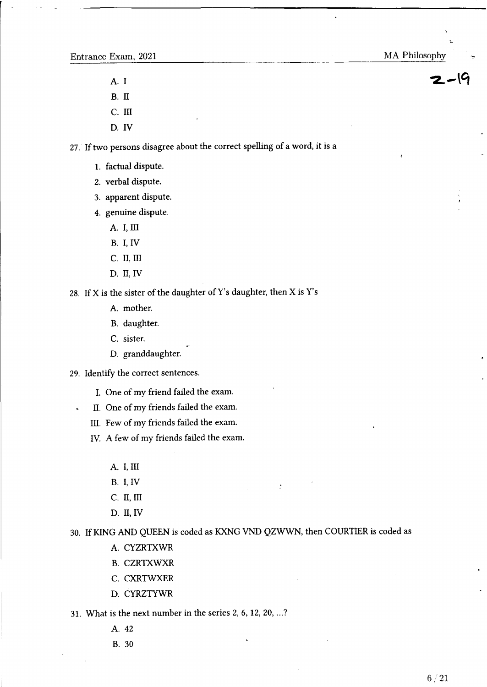$2 - 19$ 

- A. I
- B. II
- C.III
- D. IV

27. If two persons disagree about the correct spelling of a word, it is a

- 1. factual dispute.
- 2. verbal dispute.
- 3. apparent dispute.
- 4. genuine dispute.
	- A. I, III
	- B. I, IV
	- C. II, III
	- D. II, IV

28. If X is the sister of the daughter of Y's daughter, then X is Y's

- A. mother.
- B. daughter.
- C. sister.
- D. granddaughter.

29. Identify the correct sentences.

- I. One of my friend failed the exam.
- II. One of my friends failed the exam.
	- III. Few of my friends failed the exam.
	- IV. A few of my friends failed the exam.
		- A. I, III
		- B. I, IV
		- C. II, III
		- D. II, IV

30. If KING AND QUEEN is coded as KXNG VND QZWWN, then COURTIER is coded as

 $\ddot{\cdot}$ 

- A. CYZRTXWR
- B. CZRTXWXR
- C. CXRTWXER
- D. CYRZTYWR

31. What is the next number in the series  $2, 6, 12, 20, \ldots$ ?

- A. 42
- B. 30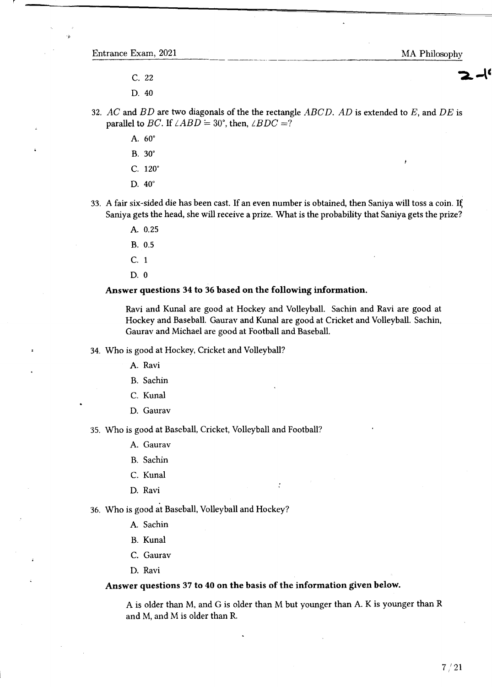## Entrance Exam, 2021

MA Philosophy

- C. 22
- D.40
- *32.* AG and BD are two diagonals of the the rectangle ABGD. AD is extended to E, and DE is parallel to *BC*. If  $\angle ABD = 30^{\circ}$ , then,  $\angle BDC = ?$ 
	- A. 60·
	- B. 30·
	- e. 120·
	- D. 40°
- 33. A fair six-sided die has been cast. If an even number is obtained, then Saniya will toss a coin. If Saniya gets the head, she will receive a prize. What is the probability that Saniya gets the prize?
	- A. 0.25
	- B. 0.5
	- e. 1
	- D. 0

## Answer questions 34 to 36 based on the following information.

Ravi and Kunal are good at Hockey and Volleyball. Sachin and Ravi are good at Hockey and Baseball. Gaurav and Kunal are good at Cricket and Volleyball. Sachin, Gaurav and Michael are good at Football and Baseball.

34. Who is good at Hockey, Cricket and Volleyball?

- A. Ravi
- B. Sachin
- C. Kunal
- D. Gaurav

35. Who is good at Baseball, Cricket, Volleyball and Football?

- A. Gaurav
- B. Sachin
- C. Kunal
- D. Ravi

36. Who is good at Baseball, Volleyball and Hockey?

- A. Sachin
- B. Kunal
- C. Gaurav
- D. Ravi

## Answer questions 37 to 40 on the basis of the information given below.

A is older than M, and G is older than M but younger than A. K is younger than R and M, and M is older than R.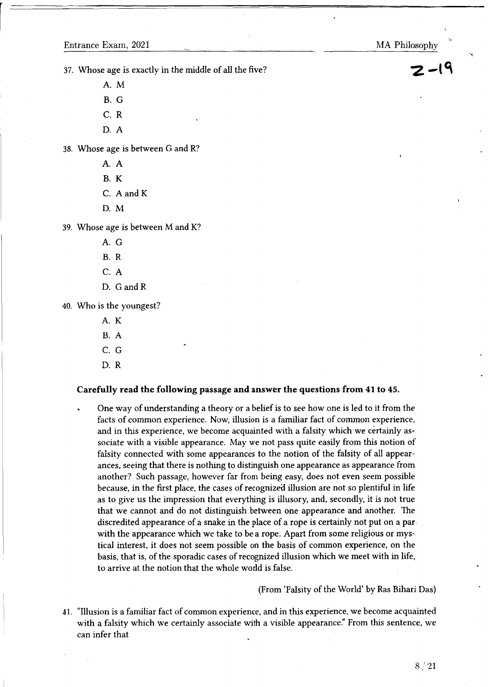37. Whose age is exactly in the middle of all the five?

A. M

- B. G
- C.R
- D. A

38. Whose age is between G and R?

- A<sub>b</sub>
- B. K
- C. AandK
- D. M

39. Whose age is between M and K?

A. G

- B. R
- C.A
- D. G and R

40. Who is the youngest?

- A<sub>K</sub>
- B. A
- C. G
- D. R

## Carefully read the following passage and answer the questions from 41 to 45.

One way of understanding a theory or a belief is to see how one is led to it from the facts of common experience. Now, illusion is a familiar fact of common experience, and in this experience, we become acquainted with a falsity which we certainly associate with a visible appearance. May we not pass quite easily from this notion of falsity connected with some appearances to the notion of the falsity of all appearances, seeing that there is nothing to distinguish one appearance as appearance from another? Such passage, however far from being easy, does not even seem possible because, in the first place, the cases of recognized illusion are not so plentiful in life as to give us the impression that everything is illusory, and, secondly, it is not true that we cannot and do not distinguish between one appearance and another. The discredited appearance of a snake in the place of a rope is certainly not put on a par, with the appearance which we take to be a rope. Apart from some religious or mystical interest, it does not seem possible on the basis of common experience, on the basis, that is, of the sporadic cases of recognized illusion which we meet with in life, to arrive at the notion that the whole world is false.

(From 'Falsity of the World' by Ras Bihari Das)

41. "Illusion is a familiar fact of common experience, and in this experience, we become acquainted with a falsity which we certainly associate with a visible appearance." From this sentence, we can infer that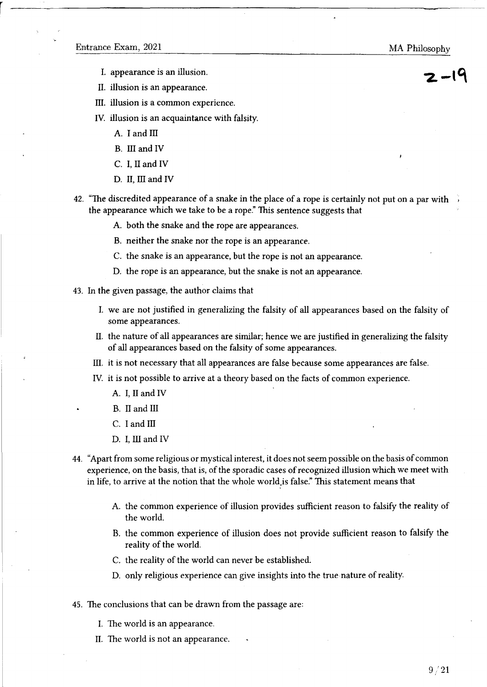r

2-19

- I. appearance is an illusion.
- II. illusion is an appearance.
- III. illusion is a common experience.
- IY. illusion is an acquaintance with falsity.
	- A. I and III
	- B. III and IV
	- C. I, II and IV
	- D. II, III and IV
- 42. "The discredited appearance of a snake in the place of a rope is certainly not put on a par with the appearance which we take to be a rope." This sentence suggests that
	- A. both the snake and the rope are appearances.
	- B. neither the snake nor the rope is an appearance.
	- C. the snake is an appearance, but the rope is not an appearance.
	- D. the rope is an appearance, but the snake is not an appearance.
- 43. In the given passage, the author claims that
	- I. we are not justified in generalizing the falsity of all appearances based on the falsity of some appearances.
	- II. the nature of all appearances are similar; hence we are justified in generalizing the falsity of all appearances based on the falsity of some appearances.
	- III. it is not necessary that all appearances are false because some appearances are false.
	- IY. it is not possible to arrive at a theory based on the facts of common experience.
		- A. I, II and IV
		- B. II and III
		- C. I and III
		- D. I, III and IV
- 44. "Apart from some religious or mystical interest, it does not seem possible on the basis of common experience, on the basis, that is, of the sporadic cases of recognized illusion which we meet with in life, to arrive at the notion that the whole world is false." This statement means that
	- A. the common experience of illusion provides sufficient reason to falsify the reality of the world.
	- B. the common experience of illusion does not provide sufficient reason to falsify the reality of the world.
	- c. the reality of the world can never be established.
	- D. only religious experience can give insights into the true nature of reality.
- 45. The conclusions that can be drawn from the passage are:
	- I. The world is an appearance.
	- II. The world is not an appearance.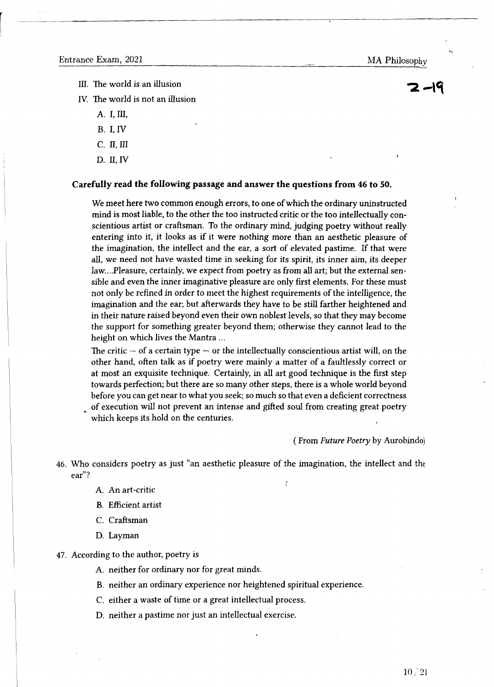- III. The world is an illusion
- IV. The world is not an illusion
	- A. I, III,
	- B. I,IV
	- C. IT, III
	- D. II, IV

## Carefully read the following passage and answer the questions from 46 to 50.

We meet here two common enough errors, to one of which the ordinary uninstructed mind is most liable, to the other the too instructed critic or the too intellectually conscientious artist or craftsman. To the ordinary mind, judging poetry without really entering into it, it looks as if it were nothing more than an aesthetic pleasure of the imagination, the intellect and the ear, a sort of elevated pastime. If that were all, we need not have wasted time in seeking for its spirit, its inner aim, its deeper law....Pleasure, certainly, we expect from poetry as from all art; but the external sensible and even the inner imaginative pleasure are only first elements. For these must not only be refined in order to meet the highest requirements of the intelligence, the imagination and the ear; but afterwards they have to be still farther heightened and in their nature raised beyond even their own noblest levels, so that they may become the support for something greater beyond them; otherwise they cannot lead to the height on which lives the Mantra ...

The critic  $-$  of a certain type  $-$  or the intellectually conscientious artist will, on the other hand, often talk as if poetry were mainly a matter of a faultlessly correct or at most an exquisite technique. Certainly, in all art good technique is the first step towards perfection; but there are so many other steps, there is a whole world beyond before you can get near to what you seek; so much so that even a deficient correctness • of execution will not prevent an intense and gifted soul from creating great poetry

which keeps its hold on the centuries.

#### ( From *Future Poetry* by Aurobindo)

- 46. Who considers poetry as just "an aesthetic pleasure of the imagination, the intellect and the ear"?
	- A. An art-critic
	- B. Efficient artist
	- C. Craftsman
	- D. Layman

## 47. According to the author, poetry is

- A. neither for ordinary nor for great minds.
- B. neither an ordinary experience nor heightened spiritual experience.
- C. either a waste of time or a great intellectual process.
- D. neither a pastime nor just an intellectual exercise.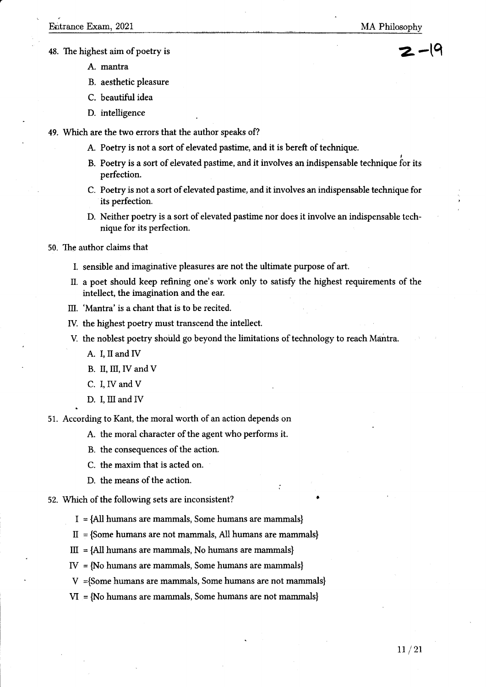48. The highest aim of poetry is

- A. mantra
- B. aesthetic pleasure
- C. beautiful idea
- D. intelligence
- 49. Which are the two errors that the author speaks of?
	- A. Poetry is not a sort of elevated pastime, and it is bereft of technique.
	- B. Poetry is a sort of elevated pastime, and it involves an indispensable technique for its perfection.
	- C. Poetry is not a sort of elevated pastime, and it involves an indispensable technique for its perfection.
	- D. Neither poetry is a sort of elevated pastime nor does it involve an indispensable technique for its perfection.
- 50. The author claims that
	- I. sensible and imaginative pleasures are not the ultimate purpose of art.
	- n. a poet should keep refining one's work only to satisfy the highest requirements of the intellect, the imagination and the ear.
	- III. 'Mantra' is a chant that is to be recited.
	- IV. the highest poetry must transcend the intellect.
	- V. the noblest poetry should go beyond the limitations of technology to reach Mantra.
		- A. I, II and IV
		- B. II, III, IV and V
		- C. I, IV and V
		- D. I, III and IV

51. According to Kant, the moral worth of an action depends on

- A. the moral character of the agent who performs it.
- B. the consequences of the action.
- C. the maxim that is acted on.
- D. the means of the action.
- 52. Which of the following sets are inconsistent?
	- $I = \{All humans are mammals, Some humans are mammals\}$
	- $II =$ {Some humans are not mammals, All humans are mammals}
	- $III = {All humans are mammals, No humans are mammals}$
	- $IV = \{No humans are mammals, Some humans are mammals\}$
	- V ={Some humans are mammals, Some humans are not mammals}
	- $VI = \{No humans are mammals, Some humans are normals\}$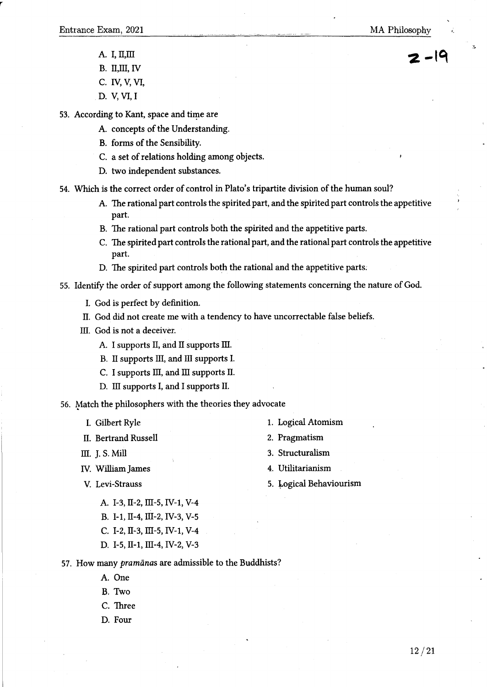r

'.

 $-19$ 

- A. I, II, III
- $B.$  II,III, IV C. IV, V, VI,
- D. V, VI,I

53. According to Kant, space and time are

- A. concepts of the Understanding.
- B. forms of the Sensibility.
- C. a set of relations holding among objects.
- D. two independent substances.

54. Which is the correct order of control in Plato's tripartite division of the human soul?

- A. The rational part controls the spirited part, and the spirited part controls the appetitive part.
- B. The rational part controls both the spirited and the appetitive parts.
- C. The spirited part controls the rational part, and the rational part controls the appetitive part.
- 0. The spirited part controls both the rational and the appetitive parts;
- 55. Identify the order of support among the following statements concerning the nature of God.
	- I. God is perfect by definition.
	- II. God did not create me with a tendency to have uncorrectable false beliefs.
	- III. God is not a deceiver.
		- A. I supports II, and II supports III.
		- B. II supports III, and III supports I.
		- C. I supports III, and III supports II.
		- D. III supports I, and I supports II.

56. Match the philosophers with the theories they advocate

- 1. Gilbert Ryle
- II. Bertrand Russell
- III. J. S. Mill
- IV. William James
- V. Levi-Strauss
	- A. 1-3, II-2, III-5, IV-1, V-4
	- B. 1-1, II-4, III-2, IV-3, V-5
	- C. I-2, II-3, III-5, IV-1, V-4
	- D. 1-5, II-1, III-4, IV-2, V-3
- 57. How many *pramāna*s are admissible to the Buddhists?
	- A. One
	- B. Two
	- C. Three
	- D. Four
- 1. Logical Atomism
- 2. Pragmatism
- 3. Structuralism
- 4. Utilitarianism
- 5. Logical Behaviourism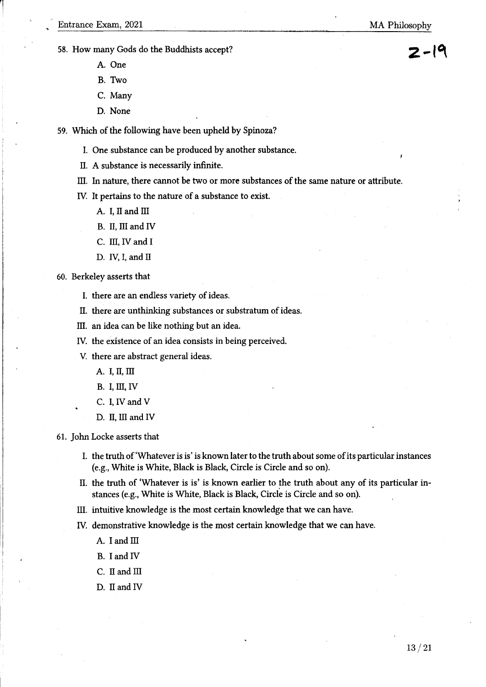$2 - 19$ 

- 58. How many Gods do the Buddhists accept?
	- A. One
	- B. Two
	- C. Many
	- D. None

59. Which of the following have been upheld by Spinoza?

- I. One substance can be produced by another substance.
- II. A substance is necessarily infinite.
- ill. In nature, there cannot be two or more substances of the same nature or attribute.
- IV. It pertains to the nature of a substance to exist.
	- A. I, II and III
	- B. II, III and IV
	- C. III, IV and I
	- D. IV, I, and II
- 60. Berkeley asserts that
	- I. there are an endless variety of ideas.
	- II. there are unthinking substances or substratum of ideas.
	- III. an idea can be like nothing but an idea.
	- IV. the existence of an idea consists in being perceived.
	- V. there are abstract general ideas.
		- A. I, II, III
		- B. I, III, IV
		- C. I, IV and V
		- D. II, III and IV
- 61. John Locke asserts that
	- I. the truth of 'Whatever is is' is known later to the truth about some of its particular instances (e.g., White is White, Black is Black, Circle is Circle and so on).
	- II. the truth of 'Whatever is is' is known earlier to the truth about any of its particular instances (e.g., White is White, Black is Black, Circle is Circle and so on).
	- III. intuitive knowledge is the most certain knowledge that we can have.
	- IV. demonstrative knowledge is the most certain knowledge that we can have.
		- A. I and III
		- B. I and IV
		- C. II and III
		- D. II and IV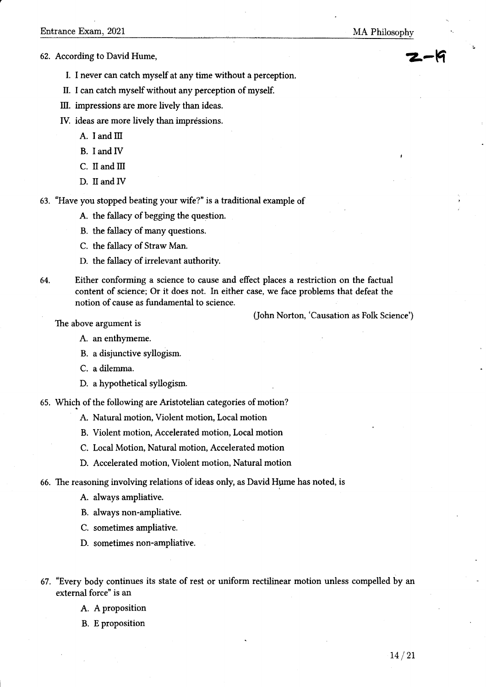62. According to David Hume,

- I. I never can catch myself at any time without a perception.
- IT. I can catch myself without any perception of myself.
- ID. impressions are more lively than ideas.
- IV. ideas are more lively than impressions.
	- A. I and III
	- B. I and IV
	- C. II and III
	- D. II and IV

63. "Have you stopped beating your wife?" is a traditional example of

- A. the fallacy of begging the question.
- B. the fallacy of many questions.
- c. the fallacy of Straw Man.
- D. the fallacy of irrelevant authority.
- 64. Either conforming a science to cause and effect places a restriction on the factual content of science; Or it does not. In either case, we face problems that defeat the notion of cause as fundamental to science.

(John Norton, 'Causation as Folk Science')

The above argument is

A. an enthymeme.

- B. a disjunctive syllogism.
- C. a dilemma.
- D. a hypothetical syllogism.

65. Which of the following are Aristotelian categories of motion?

- A. Natural motion, Violent motion, Local motion
- B. Violent motion, Accelerated motion, Local motion
- C. Local Motion, Natural motion, Accelerated motion
- D. Accelerated motion, Violent motion, Natural motion
- 66. The reasoning involving relations of ideas only, as David Hume has noted, is
	- A. always ampliative.
	- B. always non-ampliative.
	- C. sometimes ampliative.
	- D. sometimes non-ampliative.
- 67. "Every body continues its state of rest or uniform rectilinear motion unless compelled by an external force" is an

A. A proposition

B. E proposition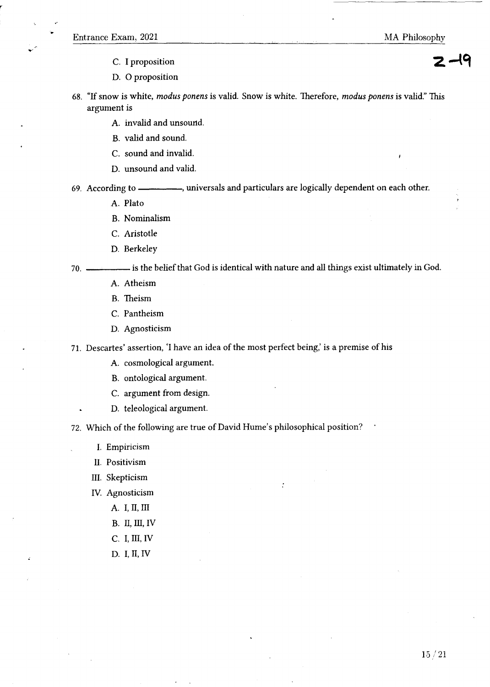Z –19

C. I proposition

D. 0 proposition

68. "If snow is white, *modus ponens* is valid. Snow is white. Therefore, *modus ponens* is valid:' This argument is

- A. invalid and unsound.
- B. valid and sound.
- C. sound and invalid.
- D. unsound and valid.

69. According to --------------, universals and particulars are logically dependent on each other.

- A. Plato
- B. Nominalism
- C. Aristotle
- D. Berkeley

70. \_\_\_\_ is the belief that God is identical with nature and all things exist ultimately in God.

 $\ddot{\cdot}$ 

- A. Atheism
- B. Theism
- C. Pantheism
- D. Agnosticism

71. Descartes' assertion, 'I have an idea of the most perfect being,' is a premise of his

- A. cosmological argument.
- B. ontological argument.
- C. argument from design.
- D. teleological argument.

72. Which of the following are true of David Hume's philosophical position?

- I. Empiricism
- II. Positivism
- III. Skepticism
- IV. Agnosticism
	- A. I, II, III
	- B. II, III, IV
	- C. I, III, IV
	- D. I, II, IV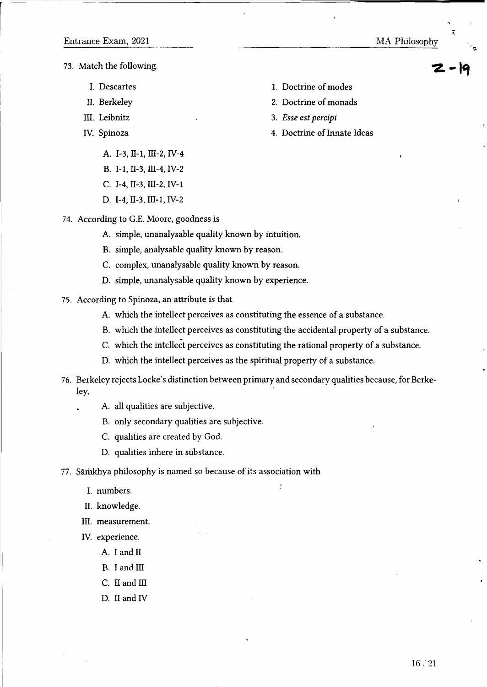**"Z. -I't** 

- 73. Match the following.
	- I. Descartes
	- II. Berkeley
	- III. Leibnitz
	- IV. Spinoza
		- A. 1-3, II-I, ill-2, IV-4
		- B. 1-1, II-3, ffi-4, IV-2
		- C. 1-4, 11-3, 111-2, IV-l
		- D. 1-4,11-3, ill-I, IV-2

74. According to G.E. Moore, goodness is

- A. simple, unanalysable quality known by intuition.
- B. simple, analysable quality known by reason.
- C. complex, unanalysable quality known by reason.
- D. simple, unanalysable quality known by experience.
- 75. According to Spinoza, an attribute is that
	- A. which the intellect perceives as constituting the essence of a substance.
	- B. which the intellect perceives as constituting the accidental property of a substance.

 $\cdot$ 

- C. which the intellect perceives as constituting the rational property of a substance.
- D. which the intellect perceives as the spiritual property of a substance.
- 76. Berkeley rejects Locke's distinction between primary and secondary qualities because, for Berkeley,
	- A. all qualities are subjective.
		- B. only secondary qualities are subjective.
		- C. qualities are created by God.
		- D. qualities inhere in substance.
- 77. Sarhkhya philosophy is named so because of its association with
	- I. numbers.
	- II. knowledge.
	- III. measurement.
	- IV. experience.
		- A. 1 and II
		- B. I and III
		- C. II and III
		- D. II and IV
- 2. Doctrine of monads
- *3. Esse est percipi*
- 4. Doctrine of Innate Ideas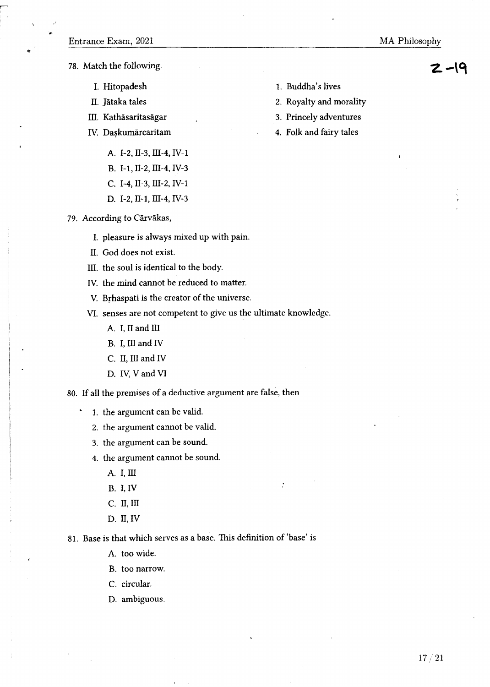**2..-\9** 

- 78. Match the following.
	- I. Hitopadesh
	- ll. Jataka tales
	- III. Kathāsaritasāgar
	- IV. Daskumārcaritam
		- A. 1-2, II-3, Ill-4, IV-1
		- B. I-I, ll-2, Ill-4, IV-3
		- C. 1-4, II-3, Ill-2, IV-l
		- D. I-2, II-1, III-4, IV-3
- 79. According to Cārvākas,
	- I. pleasure is always mixed up with pain.
	- **II.** God does not exist.
	- Ill. the soul is identical to the body.
	- IV. the mind cannot be reduced to matter.
	- V. Brhaspati is the creator of the universe.
	- VI. senses are not competent to give us the ultimate knowledge.
		- A. I, II and III
		- B. I, III and IV
		- C. II, III and IV
		- D. IV, V and VI

80. If all the premises of a deductive argument are false, then

- 1. the argument can be valid.
	- 2. the argument cannot be valid.
	- 3. the argument can be sound.
	- 4. the argument cannot be sound.
		- A. I, III
		- B. I, IV
		- C. ll,Ill
		- D. II, IV

81. Base is that which serves as a base. This definition of 'base' is

A. too wide.

- B. too narrow.
- C. circular.
- D. ambiguous.
- 1. Buddha's lives
- 2. Royalty and morality
- 3. Princely adventures
- 4. Folk and fairy tales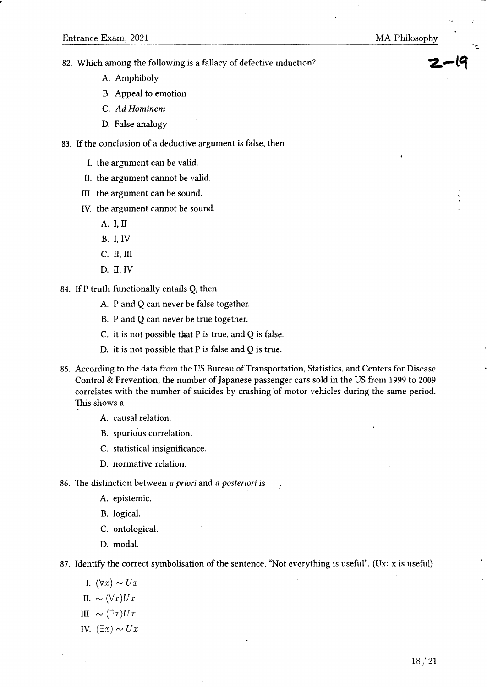r

- 82. Which among the following is a fallacy of defective induction?
	- A. Amphiboly
	- B. Appeal to emotion
	- C. *Ad Hominem*
	- D. False analogy
- 83. If the conclusion of a deductive argument is false, then
	- I. the argument can be valid.
	- II. the argument cannot be valid.
	- III. the argument can be sound.
	- IV. the argument cannot be sound.
		- A. I, II
		- B. I, IV
		- C. II, III
		- D. II, IV
- 84. If P truth-functionally entails Q, then
	- A. P and Q can never be false together.
	- B. P and Q can never be true together.
	- C. it is not possible that  $P$  is true, and  $Q$  is false.
	- D. it is not possible that P is false and Q is true.
- 85. According to the data from the US Bureau of Transportation, Statistics, and Centers for Disease Control & Prevention, the number of Japanese passenger cars sold in the US from 1999 to 2009 correlates with the number of suicides by crashing of motor vehicles during the same period. This shows a<br>A. causal relation.
	-
	- B. spurious correlation.
	- C. statistical insignificance.
	- D. normative relation.
- 86. The distinction between *a priori* and *a posteriori* is
	- A. epistemic.
	- B. logical.
	- C. ontological.
	- D. modal.

87. Identify the correct symbolisation of the sentence, "Not everything is useful". (Ux: x is useful)

- I.  $(\forall x) \sim U x$
- II.  $\sim (\forall x) U x$
- III.  $\sim (\exists x)Ux$
- IV.  $(\exists x) \sim Ux$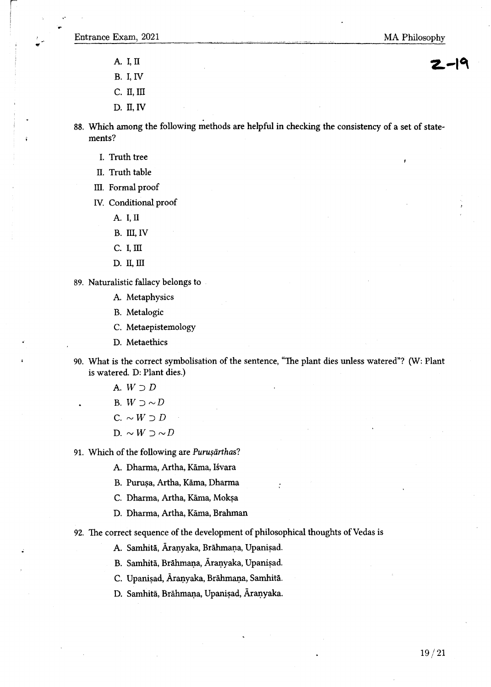"

- A. I, II **z..-Iq**
- B. I, IV
- C. II, III
- D. II, IV
- 88. Which among the following methods are helpful in checking the consistency of a set of statements?
	- L Truth tree
	- II. Truth table
	- m. Formal proof
	- IV. Conditional proof

A. I, II

- B. m,IV
- c. I, m
- D. II, III
- 89. Naturalistic fallacy belongs to
	- A. Metaphysics
	- B. Metalogic
	- C. Metaepistemology
	- D. Metaethics
- 90. What is the correct symbolisation of the sentence, "The plant dies unless watered"? (W: Plant is watered. D: Plant dies.)
	- A.  $W \supset D$
	- $B. \ W \supset \sim D$
	- C.  $\sim W \supset D$
	- D.  $\sim W \supset \sim D$

91. Which of the following are *Purusārthas*?

- A. Dharma, Artha, Kāma, Iśvara
- B. Purușa, Artha, Kāma, Dharma
- C. Dharma, Artha, Kāma, Mokṣa
- D. Dharma, Artha, Kama, Brahman

92. The correct sequence of the development of philosophical thoughts of Vedas is

A. Samhitā, Āranyaka, Brāhmana, Upanisad.

B. Samhitā, Brāhmaṇa, Āraṇyaka, Upaniṣad.

C. Upanisad, Āranyaka, Brāhmaņa, Samhitā.

D. Samhitā, Brāhmana, Upanisad, Āranyaka.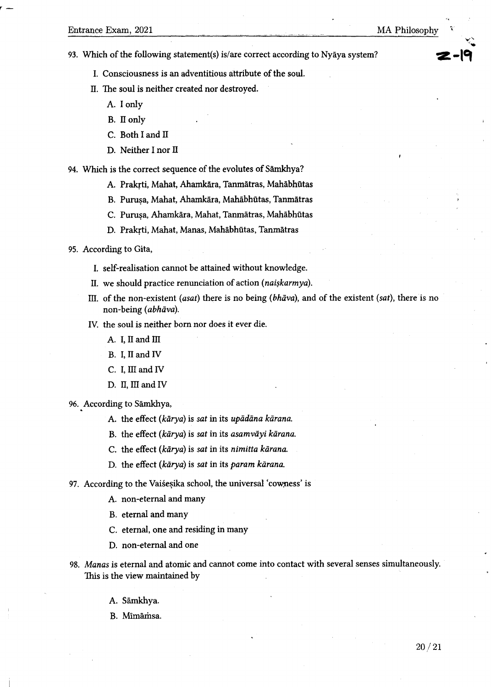r -

 $\mathbf{r}$ 

- 93. Which of the following statement(s) is/are correct according to Nyaya system?
	- I. Consciousness is an adventitious attribute of the soul.
	- II. The soul is neither created nor destroyed.
		- A. I only
		- B. II only
		- C. Both I and II
		- D. Neither I nor II
- 94. Which is the correct sequence of the evolutes of Sāmkhya?
	- A. Prakrti, Mahat, Ahamkāra, Tanmātras, Mahābhūtas
	- B. Purusa, Mahat, Ahamkāra, Mahābhūtas, Tanmātras
	- C. Purușa, Ahamkāra, Mahat, Tanmātras, Mahābhūtas
	- D. Prakrti, Mahat, Manas, Mahābhūtas, Tanmātras
- 95. According to Gita,
	- I. self-realisation cannot be attained without knowledge.
	- II. we should practice renunciation of action *(naiskarmya)*.
	- ill. of the non-existent *(asat)* there is no being *(bhiiva),* and of the existent *(sat),* there is no non-being *(abhāva)*.
	- IV. the soul is neither born nor does it ever die.
		- A. I. II and III
		- B. I, II and IV
		- C. I, III and IV
		- D. II, III and IV
- 96. According to Sämkhya,
	- A. the effect *(kārya)* is *sat* in its *upādāna kārana*.
	- B. the effect *(kārya)* is *sat* in its *asamvāyi kārana*.
	- C. the effect *(kārya)* is *sat* in its *nimitta kārana*.
	- D. the effect *(kārya)* is *sat* in its *param kārana*.
- 97. According to the Vaisesika school, the universal 'cowness' is
	- A. non-eternal and many
	- B. eternal and many
	- C. eternal, one and residing in many
	- D. non-eternal and one
- 98. *Manas* is eternal and atomic and cannot come into contact with several senses simultaneously. This is the view maintained by
	- A. Samkhya.
	- B. Mimamsa.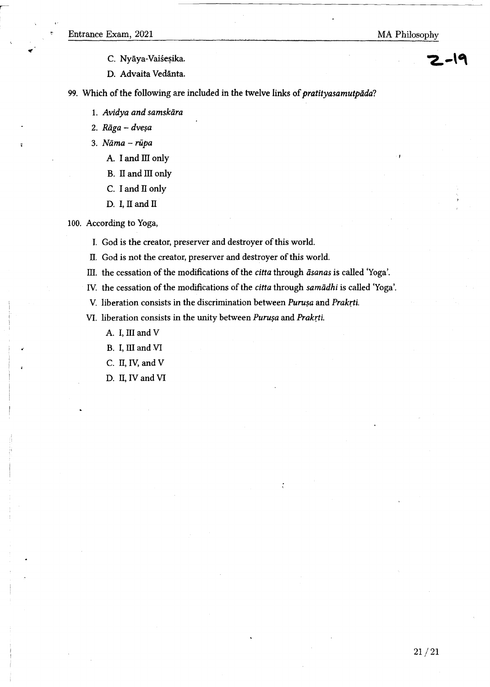,-

 $2 - 19$ 

- C. Nyāya-Vaiśesika.
- D. Advaita Vedanta.

99. Which of the following are included in the twelve links of *pratityasamutpada?* 

- *1. Avidya and samskara*
- *2. Raga dve\$a*
- *3. Nama rilpa* 
	- A. I and III only
	- B. II and III only
	- C. I and II only
	- D. I, II and II

100. According to Yoga,

- I. God is the creator, preserver and destroyer of this world.
- II. God is not the creator, preserver and destroyer of this world.
- m. the cessation of the modifications of the *citta* through *asanas* is called 'Yoga'.
- IV. the cessation of the modifications of the *citta* through *samadhi* is called 'Yoga'.
- V. liberation consists in the discrimination between *Purusa* and *Prakrti*.
- VI. liberation consists in the unity between *Purusa* and *Prakrti*.
	- A. I, **III** and V
	- B. I, III and VI
	- C. II, IV, and V
	- D. II, IV and VI